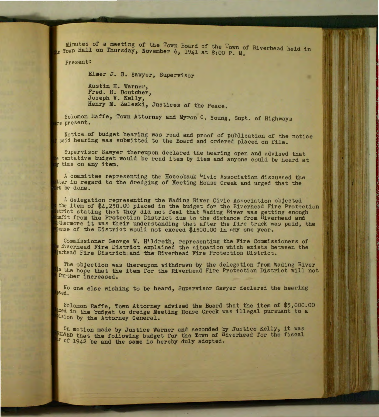Minutes of a meeting of the Town Board of the Town of Riverhead held in e Town Hall on Thursday, November 6, 1941 at 8:00 P. M.

Pre sent:

Elmer J. B. Sawyer, Supervisor

Austin H. Warner, Fred. H. Boutcher, Joseph V. *Kelly,*  Henry M. Zaleski, Justices of the Peace.

Solomon Raffe, Town Attorney and Myron C. Young, Supt. of Highways re present.

Notice of budget hearing was read and proof of publication of the notice said hearing was submitted to the Board and ordered placed on file.

Supervisor Sawyer thereupon declared the hearing open and advised that tenta tive budget would be read item by item and anyone could be heard at y time on any item.

A committee representing the Hoccobauk Civic Association discussed the tter in regard to the dredging of Meeting House Creek and urged that the be done.

A delegation representing the Wading River Civic Association objected the item of \$4,250.00 placed in the budget for the Riverhead Fire Protection strict stating that they did not feel that Wading River was getting enough hefit from the Protection District due to the distance from Riverhead and thermore it was their understanding that after the fire truck was paid, the pense of the District would not exceed \$1500.00 in any one year.

Commissioner George W. Hildreth, representing the Fire Commissioners of  $R$ iverhead Fire District explained the situation which exists between the erhead Fire District and the Riverhead Fire Protection District.

The objection was thereupon withdrawn by the delegation from Wading River h the hope that the item for the Riverhead Fire Protection District will not further increased.

No one else wishing to be heard, Supervisor Sawyer declared the hearing sed.

Solomon Raffe, Town Attorney advised the Board that the item of \$5,000.00 ced in the budget to dredge Meeting House Creek was illegal pursuant to a Alsion by the Attorney General.

On motion made by Justice Warner and seconded by Justice Kelly, it was WOLVED that the following budget for the Town of Riverhead for the fiscal of 1942 be and the same is hereby duly adopted.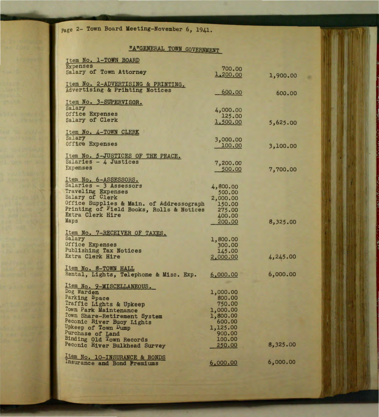page 2- Town Board Meeting-November 6, 1941.

## "A"GENERAL TOWN GOVERNMENT

o

| Item No. 1-TOWN BOARD                           |                    |          |
|-------------------------------------------------|--------------------|----------|
| <b>Expenses</b>                                 | 700.00             |          |
| Salary of Town Attorney                         | 1,200.00           |          |
|                                                 |                    | 1,900.00 |
| Item No. 2-ADVERTISING & PRINTING.              |                    |          |
| Advertising & Printing Notices                  | 600.00             | 600.00   |
|                                                 |                    |          |
| Item No. 3-SUPERVISOR.                          |                    |          |
| Salary                                          | 4,000.00           |          |
| Office Expenses                                 | 125.00             |          |
| Salary of Clerk                                 | 1,500.00           | 5,625.00 |
|                                                 |                    |          |
| Item No. 4-TOWN CLERK                           |                    |          |
| Salary                                          | 3,000.00           |          |
| Office Expenses                                 | 100.00             | 3,100.00 |
|                                                 |                    |          |
| Item No. 5-JUSTICES OF THE PEACE.               |                    |          |
| Salaries - 4 Justices                           | 7,200.00           |          |
| <b>Expenses</b>                                 | 500.00             | 7,700.00 |
|                                                 |                    |          |
| Item No. 6-ASSESSORS.<br>Salaries - 3 Assessors |                    |          |
| Traveling Expenses                              | 4,800.00           |          |
| Salary of Clerk                                 | 500.00             |          |
| Office Supplies & Main. of Addressograph        | 2,000.00<br>150.00 |          |
| Printing of Field Books, Rolls & Notices        | 275.00             |          |
| Extra Clerk Hire                                | 400.00             |          |
| Maps                                            | 200.00             | 8,325.00 |
|                                                 |                    |          |
| Item No. 7-RECEIVER OF TAXES.                   |                    |          |
| Salary                                          | 1,800.00           |          |
| Office Expenses                                 | 300.00             |          |
| Publishing Tax Notices                          | 145.00             |          |
| Extra Clerk Hire                                | 2,000.00           | 4,245.00 |
|                                                 |                    |          |
| Item No. 8-TOWN HALL                            |                    |          |
| Rental, Lights, Telephone & Misc.<br>Exp.       | 6,000.00           | 6,000.00 |
|                                                 |                    |          |
| Item No. 9-MISCELLANEOUS.<br>Dog Warden         |                    |          |
| Parking Space                                   | 1,000.00<br>800.00 |          |
| Traffic Lights & Upkeep                         | 750.00             |          |
| Town Park Maintenance                           | 1,000.00           |          |
| Town Share-Retirement System                    | 1,800.00           |          |
| Peconic River Buoy Lights                       | 600.00             |          |
| Upkeep of Town Dump                             | 1,125.00           |          |
| Purchase of Land                                | 900.00             |          |
| Binding Old Town Records                        | 100.00             |          |
| Peconic River Bulkhead Survey                   | 250.00             | 8,325.00 |
|                                                 |                    |          |
| Item No. 10-INSURANCE & BONDS                   |                    |          |
| Insurance and Bond Premiums                     | 6,000.00           | 6,000.00 |
|                                                 |                    |          |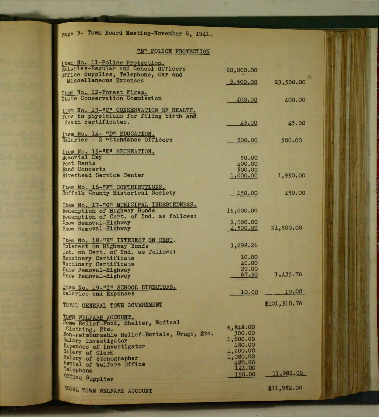page 3- Town Board Meeting-November 6, 1941.

## "B" POLICE PROTECTION

| Item No. 11-Police Protection.                                      |                    |              |
|---------------------------------------------------------------------|--------------------|--------------|
| Salaries-Regular and School Officers                                | 20,000.00          |              |
| office Supplies, Telephone, Car and                                 |                    |              |
| Miscellaneous Expenses                                              | 3,500.00           | 23,500.00    |
|                                                                     |                    |              |
| Item No. 12-Forest Fires.<br>State Conservation Commission          |                    |              |
|                                                                     | 400.00             | 400.00       |
| Item No. 13-"C" CONSERVATION OF HEALTH.                             |                    |              |
| Fees to physicians for filing birth and                             |                    |              |
| death certificates.                                                 | 45.00              | 45.00        |
|                                                                     |                    |              |
| Item No. 14- "D" EDUCATION.<br>Salaries - 2 Attendance Officers     |                    |              |
|                                                                     | 500.00             | 500.00       |
| Item No. 15 <sup>e</sup> "E" RECREATION.                            |                    |              |
| Memorial Day                                                        | 50.00              |              |
| Post Rents                                                          | 400.00             |              |
| <b>Band Concerts</b>                                                | 500.00             |              |
| <b>Riverhead Service Center</b>                                     | 1,000.00           | 1,950.00     |
|                                                                     |                    |              |
| Item No. 16-"F" CONTRIBUTIONS.<br>Suffolk County Historical Society |                    |              |
|                                                                     | 150.00             | 150.00       |
| Item No. 17-"G" MUNICIPAL INDEBTEDNESS.                             |                    |              |
| Redemption of Highway Bonds                                         | 15,000.00          |              |
| Redemption of Cert. of Ind. as follows:                             |                    |              |
| Snow Removal-Highway                                                | 2,000.00           |              |
| Snow Removal-Highway                                                | 4,500.00           | 21,500.00    |
|                                                                     |                    |              |
| Item No. 18-"H" INTEREST ON DEBT.                                   | 1,298.26           |              |
| Interest on Highway Bonds<br>Int. on Cert. of Ind. as follows:      |                    |              |
| Machinery Certificate                                               | 10.00              |              |
| Machinery Certificate                                               | 40.00              |              |
| Snow Removal-Highway                                                | 20.00              |              |
| Snow Removal-Highway                                                | 67.50              | 1,435.76     |
|                                                                     |                    |              |
| Item No. 19-"I" SCHOOL DIRECTORS.                                   | 10.00              | 10.00        |
| Salaries and Expenses                                               |                    |              |
| TOTAL GENERAL TOWN GOVERNMENT                                       |                    | \$101,310.76 |
|                                                                     |                    |              |
| TOWN WELFARE ACCOUNT.                                               |                    |              |
| Home Relief-Food, Shelter, Medical                                  |                    |              |
| Clothing, Etc.                                                      | 6,848.00<br>300.00 |              |
| Mon-reimbursable Relief-Burials, Drugs, Etc.                        | 1,600.00           |              |
| Salary Investigator                                                 | 180.00             |              |
| Expenses of Investigator<br>Salary of Clerk                         | 1,200.00           |              |
| Salary of Stenographer                                              | 1,080.00           |              |
| Rental of Welfare Office                                            | 480.00             |              |
| Telephone                                                           | 144.00             | 11,982.00    |
| Office Supplies                                                     | 150.00             |              |
|                                                                     |                    |              |
| TOTAL TOWN WELFARE ACCOUNT                                          |                    | \$11,982.00  |
|                                                                     |                    |              |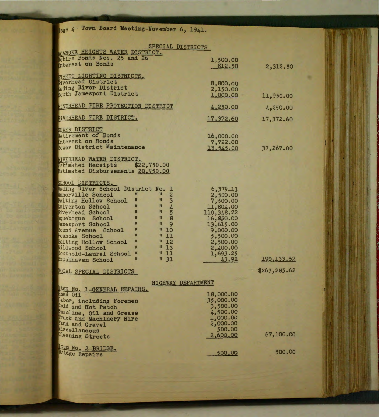Page 4- Town Board Meeting-November 6, 1941.

| SPECIAL DISTRICTS                                                       |            |               |
|-------------------------------------------------------------------------|------------|---------------|
| ROANOKE HEIGHTS WATER DISTRICT.                                         |            |               |
| Retire Bonds Nos. 25 and 26                                             | 1,500.00   |               |
| Interest on Bonds                                                       | 812.50     | 2,312.50      |
| <b>TREET LIGHTING DISTRICTS.</b>                                        |            |               |
| Riverhead District                                                      | 8,800.00   |               |
| Wading River District                                                   | 2,150.00   |               |
| South Jamesport District                                                | 1,000.00   | 11,950.00     |
| RIVERHEAD FIRE PROTECTION DISTRICT                                      | 4,250.00   | 4,250.00      |
| NVERHEAD FIRE DISTRICT.                                                 | 17,372.60  | 17,372.60     |
| <b>FWER DISTRICT</b>                                                    |            |               |
| Retirement of Bonds                                                     | 16,000.00  |               |
| Interest on Bonds                                                       | 7,722.00   |               |
| Sewer District Maintenance                                              | 13,545.00  | 37,267.00     |
| RIVERHEAD WATER DISTRICT.                                               |            |               |
| Estimated Receipts<br>\$22,750.00                                       |            |               |
| Estimated Disbursements 20,950.00                                       |            |               |
| SCHOOL DISTRICTS.                                                       |            |               |
| Wading River School District No.<br>в                                   | 6,379.13   |               |
| 23458<br>Manorville School<br>Ħ<br>Ш                                    | 2,500.00   |               |
| $\mathbf{H}$<br>$\mathbf{u}$<br>Baiting Hollow School                   | 7,500.00   |               |
| M<br>H<br><b><i>alverton</i></b> School                                 | 11,804.00  |               |
| π<br>$\mathbf{H}$<br>Riverhead School                                   | 110,348.22 |               |
| $\mathbf{u}$<br>$\mathbf{u}$<br>quebogue School                         | 16,850.00  |               |
| 9<br>$\mathbf{u}$<br>$\mathbf{u}$<br>Jamesport School                   | 13,615.00  |               |
| 10<br>$\mathbf{u}$<br>$\mathbf{u}$<br><b>Sound Avenue School</b>        | 9,000.00   |               |
| $\mathbf{u}$<br>$\mathbf{H}$<br>11<br>Roanoke School                    | 5,500.00   |               |
| 12<br>$\mathbf{u}$<br>$\mathbf{u}$<br>Baiting Hollow School             | 2,500.00   |               |
| $\mathbf{u}$<br>13<br>Wildwood School<br>$\mathbf{u}$                   | 2,400.00   |               |
| $\mathbf{u}$<br>$\mathbf{11}$<br>$\mathbf{u}$<br>Southold-Laurel School | 1,693.25   |               |
| " 31<br>$\mathbf{u}$<br>Brookhaven School                               | 43.92      | 190, 133.52   |
| <b>FOTAL SPECIAL DISTRICTS</b>                                          |            | \$263, 285.62 |
| HIGHWAY DEPARTMENT                                                      |            |               |
| Item No. 1-GENERAL REPAIRS.                                             |            |               |
| Road Oil                                                                | 18,000.00  |               |
| Labor, including Foremen                                                | 35,000.00  |               |
| Cold and Hot Patch                                                      | 3,500.00   |               |
| <b>Masoline, Oil and Grease</b>                                         | 4,500.00   |               |
| <b>Truck and Machinery Hire</b>                                         | 1,000.00   |               |
| Band and Gravel                                                         | 2,000.00   |               |
| <i><b>Miscellaneous</b></i>                                             | 500.00     |               |
| Cleaning Streets                                                        | 2,600.00   | 67,100.00     |
| Item No. 2-BRIDGE.                                                      |            | 500.00        |
| Bridge Repairs                                                          | 500.00     |               |
|                                                                         |            |               |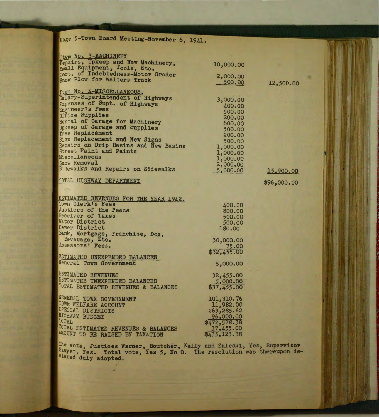| page 5-Town Board Meeting-November 6, 1941. |              |             |  |
|---------------------------------------------|--------------|-------------|--|
|                                             |              |             |  |
| Item No. 3-MACHINERY                        |              |             |  |
| Repairs, Upkeep and New Machinery.          | 10,000.00    |             |  |
| Small Equipment, Tools, Etc.                |              |             |  |
| Cert. of Indebtedness-Motor Grader          | 2,000.00     |             |  |
| Snow Plow for Walters Truck                 | 500.00       | 12,500.00   |  |
|                                             |              |             |  |
| Item No. 4-MISCELLANEOUS.                   |              |             |  |
| Salary-Superintendent of Highways           | 3,000.00     |             |  |
| Expenses of Supt. of Highways               | 400.00       |             |  |
| Engineer's Fees                             | 500.00       |             |  |
| office Supplies                             | 200.00       |             |  |
| Rental of Garage for Machinery              | 600.00       |             |  |
| Upkeep of Garage and Supplies               | 500.00       |             |  |
| Tree Replacement                            | 200.00       |             |  |
| Sign Replacement and New Signs              | 500.00       |             |  |
| Repairs on Drip Basins and New Basins       | 1,000.00     |             |  |
| Street Paint and Paints                     | 1,000.00     |             |  |
| Miscellaneous                               | 1,000.00     |             |  |
| Snow Removal                                | 2,000.00     |             |  |
| Sidewalks and Repairs on Sidewalks          | 5,000.00     | 15,900.00   |  |
| TOTAL HIGHWAY DEPARTMENT                    |              |             |  |
|                                             |              | \$96,000.00 |  |
|                                             |              |             |  |
| ESTIMATED REVENUES FOR THE YEAR 1942.       |              |             |  |
| Town Clerk's Fees                           | 400.00       |             |  |
| <b>Justices of the Peace</b>                | 800.00       |             |  |
| <b>Receiver of Taxes</b>                    | 500.00       |             |  |
| Water District                              | 500.00       |             |  |
| <b>Sewer District</b>                       | 180.00       |             |  |
| Bank, Mortgage, Franchise, Dog,             |              |             |  |
| Beverage, Etc.                              | 30,000.00    |             |  |
| Assessors' Fees.                            | 75.00        |             |  |
|                                             | \$32,455.00  |             |  |
| ESTIMATED UNEXPENDED BALANCES               |              |             |  |
| General Town Government                     | 5,000.00     |             |  |
|                                             |              |             |  |
| ESTIMATED REVENUES                          | 32,455.00    |             |  |
| ESTIMATED UNEXPENDED BALANCES               | 5,000.00     |             |  |
| TOTAL ESTIMATED REVENUES & BALANCES         | \$37,455.00  |             |  |
| GENERAL TOWN GOVERNMENT                     | 101,310.76   |             |  |
| TOWN WELFARE ACCOUNT                        | 11,982.00    |             |  |
| SPECIAL DISTRICTS                           | 263,285.62   |             |  |
| HIGHWAY BUDGET                              | 96,000.00    |             |  |
| TOTAL                                       | \$472,578.38 |             |  |
| TOTAL ESTIMATED REVENUES & BALANCES         | 37,455.00    |             |  |
| AMOUNT TO BE RAISED BY TAXATION             | \$435,123.38 |             |  |
|                                             |              |             |  |

The vote, Justices Warner, Boutcher, Kelly and Zaleski, Yes, Supervisor Sawyer, Yes. Total vote, Yes 5, No 0. The resolution was thereupon declared duly adopted.